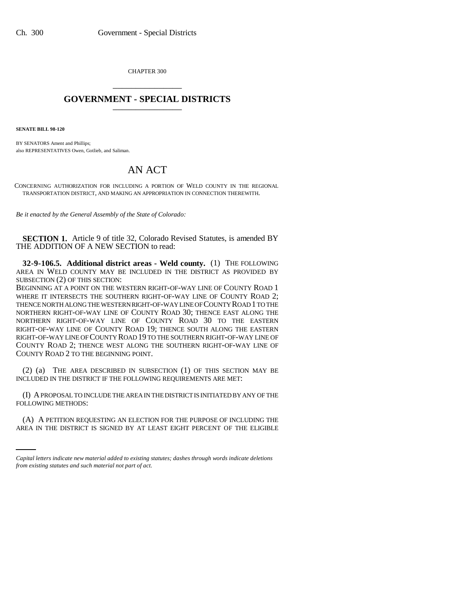CHAPTER 300 \_\_\_\_\_\_\_\_\_\_\_\_\_\_\_

## **GOVERNMENT - SPECIAL DISTRICTS** \_\_\_\_\_\_\_\_\_\_\_\_\_\_\_

**SENATE BILL 98-120**

BY SENATORS Ament and Phillips; also REPRESENTATIVES Owen, Gotlieb, and Saliman.

## AN ACT

CONCERNING AUTHORIZATION FOR INCLUDING A PORTION OF WELD COUNTY IN THE REGIONAL TRANSPORTATION DISTRICT, AND MAKING AN APPROPRIATION IN CONNECTION THEREWITH.

*Be it enacted by the General Assembly of the State of Colorado:*

**SECTION 1.** Article 9 of title 32, Colorado Revised Statutes, is amended BY THE ADDITION OF A NEW SECTION to read:

**32-9-106.5. Additional district areas - Weld county.** (1) THE FOLLOWING AREA IN WELD COUNTY MAY BE INCLUDED IN THE DISTRICT AS PROVIDED BY SUBSECTION (2) OF THIS SECTION:

BEGINNING AT A POINT ON THE WESTERN RIGHT-OF-WAY LINE OF COUNTY ROAD 1 WHERE IT INTERSECTS THE SOUTHERN RIGHT-OF-WAY LINE OF COUNTY ROAD 2; THENCE NORTH ALONG THE WESTERN RIGHT-OF-WAY LINE OF COUNTY ROAD 1 TO THE NORTHERN RIGHT-OF-WAY LINE OF COUNTY ROAD 30; THENCE EAST ALONG THE NORTHERN RIGHT-OF-WAY LINE OF COUNTY ROAD 30 TO THE EASTERN RIGHT-OF-WAY LINE OF COUNTY ROAD 19; THENCE SOUTH ALONG THE EASTERN RIGHT-OF-WAY LINE OF COUNTY ROAD 19 TO THE SOUTHERN RIGHT-OF-WAY LINE OF COUNTY ROAD 2; THENCE WEST ALONG THE SOUTHERN RIGHT-OF-WAY LINE OF COUNTY ROAD 2 TO THE BEGINNING POINT.

(2) (a) THE AREA DESCRIBED IN SUBSECTION (1) OF THIS SECTION MAY BE INCLUDED IN THE DISTRICT IF THE FOLLOWING REQUIREMENTS ARE MET:

(I) A PROPOSAL TO INCLUDE THE AREA IN THE DISTRICT IS INITIATED BY ANY OF THE FOLLOWING METHODS:

(A) A PETITION REQUESTING AN ELECTION FOR THE PURPOSE OF INCLUDING THE AREA IN THE DISTRICT IS SIGNED BY AT LEAST EIGHT PERCENT OF THE ELIGIBLE

*Capital letters indicate new material added to existing statutes; dashes through words indicate deletions from existing statutes and such material not part of act.*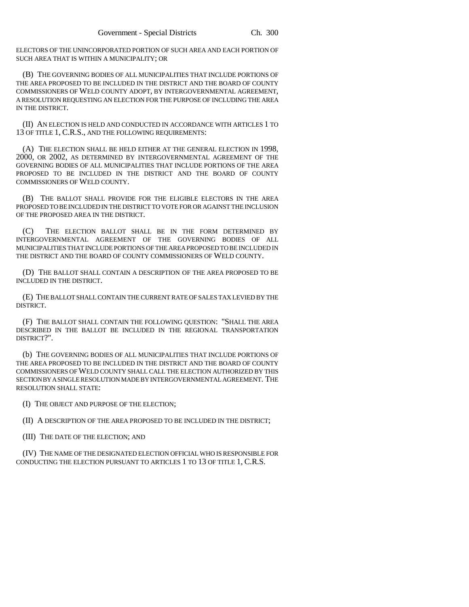ELECTORS OF THE UNINCORPORATED PORTION OF SUCH AREA AND EACH PORTION OF SUCH AREA THAT IS WITHIN A MUNICIPALITY; OR

(B) THE GOVERNING BODIES OF ALL MUNICIPALITIES THAT INCLUDE PORTIONS OF THE AREA PROPOSED TO BE INCLUDED IN THE DISTRICT AND THE BOARD OF COUNTY COMMISSIONERS OF WELD COUNTY ADOPT, BY INTERGOVERNMENTAL AGREEMENT, A RESOLUTION REQUESTING AN ELECTION FOR THE PURPOSE OF INCLUDING THE AREA IN THE DISTRICT.

(II) AN ELECTION IS HELD AND CONDUCTED IN ACCORDANCE WITH ARTICLES 1 TO 13 OF TITLE 1, C.R.S., AND THE FOLLOWING REQUIREMENTS:

(A) THE ELECTION SHALL BE HELD EITHER AT THE GENERAL ELECTION IN 1998, 2000, OR 2002, AS DETERMINED BY INTERGOVERNMENTAL AGREEMENT OF THE GOVERNING BODIES OF ALL MUNICIPALITIES THAT INCLUDE PORTIONS OF THE AREA PROPOSED TO BE INCLUDED IN THE DISTRICT AND THE BOARD OF COUNTY COMMISSIONERS OF WELD COUNTY.

(B) THE BALLOT SHALL PROVIDE FOR THE ELIGIBLE ELECTORS IN THE AREA PROPOSED TO BE INCLUDED IN THE DISTRICT TO VOTE FOR OR AGAINST THE INCLUSION OF THE PROPOSED AREA IN THE DISTRICT.

(C) THE ELECTION BALLOT SHALL BE IN THE FORM DETERMINED BY INTERGOVERNMENTAL AGREEMENT OF THE GOVERNING BODIES OF ALL MUNICIPALITIES THAT INCLUDE PORTIONS OF THE AREA PROPOSED TO BE INCLUDED IN THE DISTRICT AND THE BOARD OF COUNTY COMMISSIONERS OF WELD COUNTY.

(D) THE BALLOT SHALL CONTAIN A DESCRIPTION OF THE AREA PROPOSED TO BE INCLUDED IN THE DISTRICT.

(E) THE BALLOT SHALL CONTAIN THE CURRENT RATE OF SALES TAX LEVIED BY THE DISTRICT.

(F) THE BALLOT SHALL CONTAIN THE FOLLOWING QUESTION: "SHALL THE AREA DESCRIBED IN THE BALLOT BE INCLUDED IN THE REGIONAL TRANSPORTATION DISTRICT?".

(b) THE GOVERNING BODIES OF ALL MUNICIPALITIES THAT INCLUDE PORTIONS OF THE AREA PROPOSED TO BE INCLUDED IN THE DISTRICT AND THE BOARD OF COUNTY COMMISSIONERS OF WELD COUNTY SHALL CALL THE ELECTION AUTHORIZED BY THIS SECTION BY A SINGLE RESOLUTION MADE BY INTERGOVERNMENTAL AGREEMENT. THE RESOLUTION SHALL STATE:

(I) THE OBJECT AND PURPOSE OF THE ELECTION;

(II) A DESCRIPTION OF THE AREA PROPOSED TO BE INCLUDED IN THE DISTRICT;

(III) THE DATE OF THE ELECTION; AND

(IV) THE NAME OF THE DESIGNATED ELECTION OFFICIAL WHO IS RESPONSIBLE FOR CONDUCTING THE ELECTION PURSUANT TO ARTICLES 1 TO 13 OF TITLE 1, C.R.S.